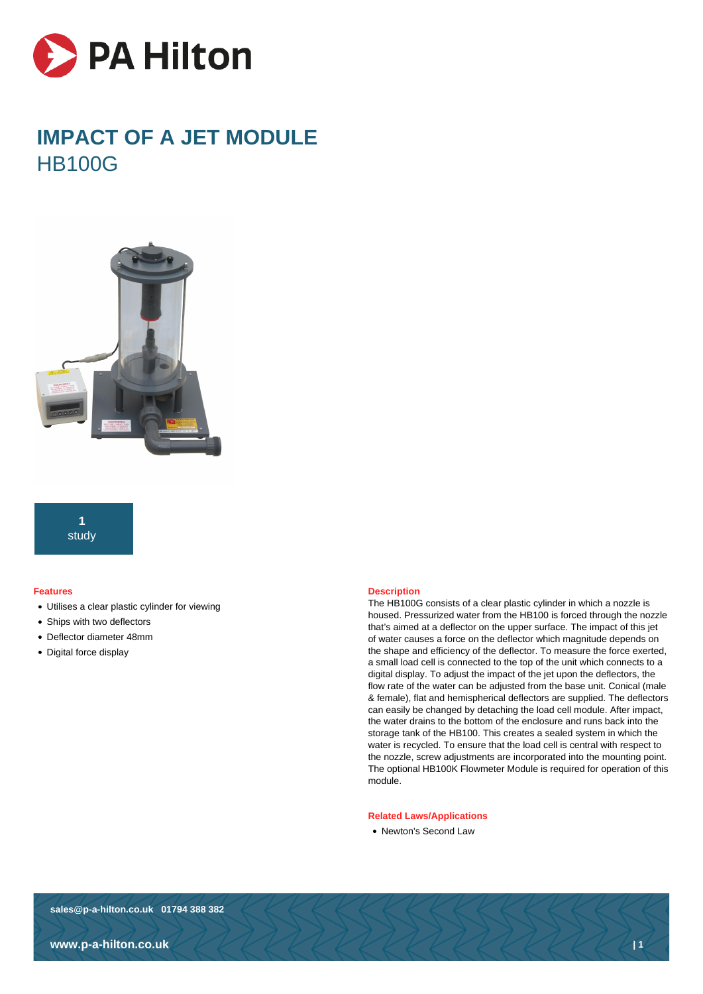

# **IMPACT OF A JET MODULE** HB100G



## **1** study

#### **Features**

- Utilises a clear plastic cylinder for viewing
- Ships with two deflectors
- Deflector diameter 48mm
- Digital force display

#### **Description**

The HB100G consists of a clear plastic cylinder in which a nozzle is housed. Pressurized water from the HB100 is forced through the nozzle that's aimed at a deflector on the upper surface. The impact of this jet of water causes a force on the deflector which magnitude depends on the shape and efficiency of the deflector. To measure the force exerted, a small load cell is connected to the top of the unit which connects to a digital display. To adjust the impact of the jet upon the deflectors, the flow rate of the water can be adjusted from the base unit. Conical (male & female), flat and hemispherical deflectors are supplied. The deflectors can easily be changed by detaching the load cell module. After impact, the water drains to the bottom of the enclosure and runs back into the storage tank of the HB100. This creates a sealed system in which the water is recycled. To ensure that the load cell is central with respect to the nozzle, screw adjustments are incorporated into the mounting point. The optional HB100K Flowmeter Module is required for operation of this module.

#### **Related Laws/Applications**

• Newton's Second Law